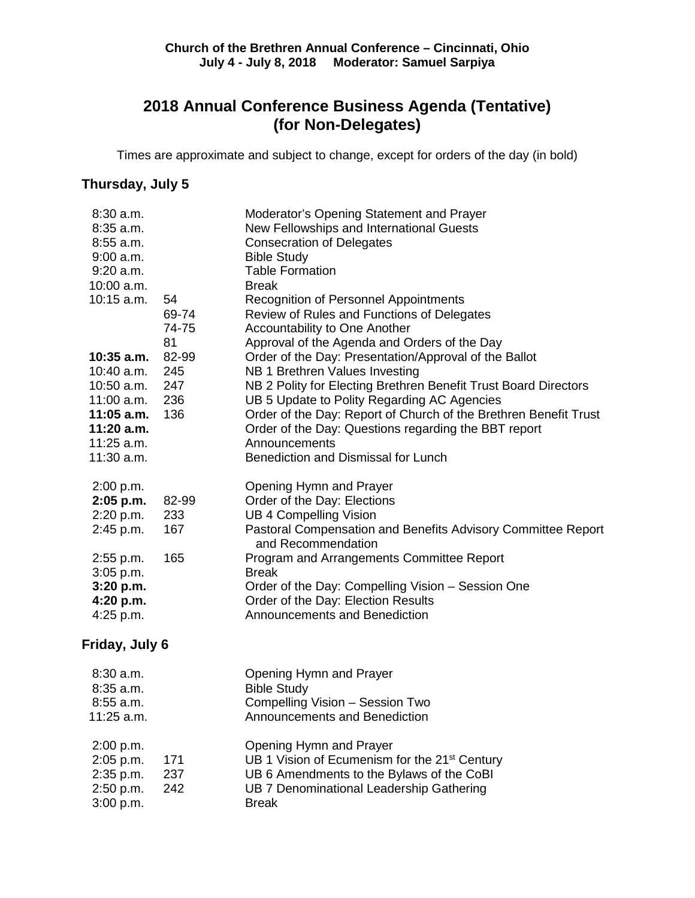## **2018 Annual Conference Business Agenda (Tentative) (for Non-Delegates)**

Times are approximate and subject to change, except for orders of the day (in bold)

## **Thursday, July 5**

| $8:30$ a.m.<br>$8:35$ a.m.<br>$8:55$ a.m.<br>$9:00$ a.m. |                      | Moderator's Opening Statement and Prayer<br>New Fellowships and International Guests<br><b>Consecration of Delegates</b><br><b>Bible Study</b> |
|----------------------------------------------------------|----------------------|------------------------------------------------------------------------------------------------------------------------------------------------|
| $9:20$ a.m.                                              |                      | <b>Table Formation</b>                                                                                                                         |
| 10:00 a.m.                                               |                      | <b>Break</b>                                                                                                                                   |
| $10:15$ a.m.                                             | 54<br>69-74<br>74-75 | <b>Recognition of Personnel Appointments</b><br>Review of Rules and Functions of Delegates<br>Accountability to One Another                    |
|                                                          | 81                   | Approval of the Agenda and Orders of the Day                                                                                                   |
| $10:35$ a.m.<br>10:40 a.m.                               | 82-99<br>245         | Order of the Day: Presentation/Approval of the Ballot<br>NB 1 Brethren Values Investing                                                        |
| $10:50$ a.m.<br>$11:00$ a.m.                             | 247<br>236           | NB 2 Polity for Electing Brethren Benefit Trust Board Directors<br>UB 5 Update to Polity Regarding AC Agencies                                 |
| 11:05 a.m.<br>11:20 a.m.                                 | 136                  | Order of the Day: Report of Church of the Brethren Benefit Trust<br>Order of the Day: Questions regarding the BBT report                       |
| $11:25$ a.m.<br>11:30 a.m.                               |                      | Announcements<br>Benediction and Dismissal for Lunch                                                                                           |
| 2:00 p.m.<br>2:05 p.m.                                   | 82-99                | Opening Hymn and Prayer<br>Order of the Day: Elections                                                                                         |
| 2:20 p.m.                                                | 233                  | <b>UB 4 Compelling Vision</b>                                                                                                                  |
| 2:45 p.m.                                                | 167                  | Pastoral Compensation and Benefits Advisory Committee Report<br>and Recommendation                                                             |
| $2:55$ p.m.<br>$3:05$ p.m.                               | 165                  | Program and Arrangements Committee Report<br><b>Break</b>                                                                                      |
| 3:20 p.m.<br>4:20 p.m.                                   |                      | Order of the Day: Compelling Vision - Session One<br>Order of the Day: Election Results                                                        |
| 4:25 p.m.                                                |                      | <b>Announcements and Benediction</b>                                                                                                           |
| Friday, July 6                                           |                      |                                                                                                                                                |
| 8:30 a.m.<br>$8:35$ a.m.                                 |                      | Opening Hymn and Prayer<br><b>Bible Study</b>                                                                                                  |
| $8:55$ a.m.                                              |                      | Compelling Vision - Session Two                                                                                                                |
| 11:25 a.m.                                               |                      | Announcements and Benediction                                                                                                                  |
| 2:00 p.m.                                                |                      | Opening Hymn and Prayer                                                                                                                        |
| 2:05 p.m.                                                | 171                  | UB 1 Vision of Ecumenism for the 21 <sup>st</sup> Century                                                                                      |
| 2:35 p.m.<br>2:50 p.m.                                   | 237<br>242           | UB 6 Amendments to the Bylaws of the CoBI<br>UB 7 Denominational Leadership Gathering                                                          |
| 3:00 p.m.                                                |                      | <b>Break</b>                                                                                                                                   |